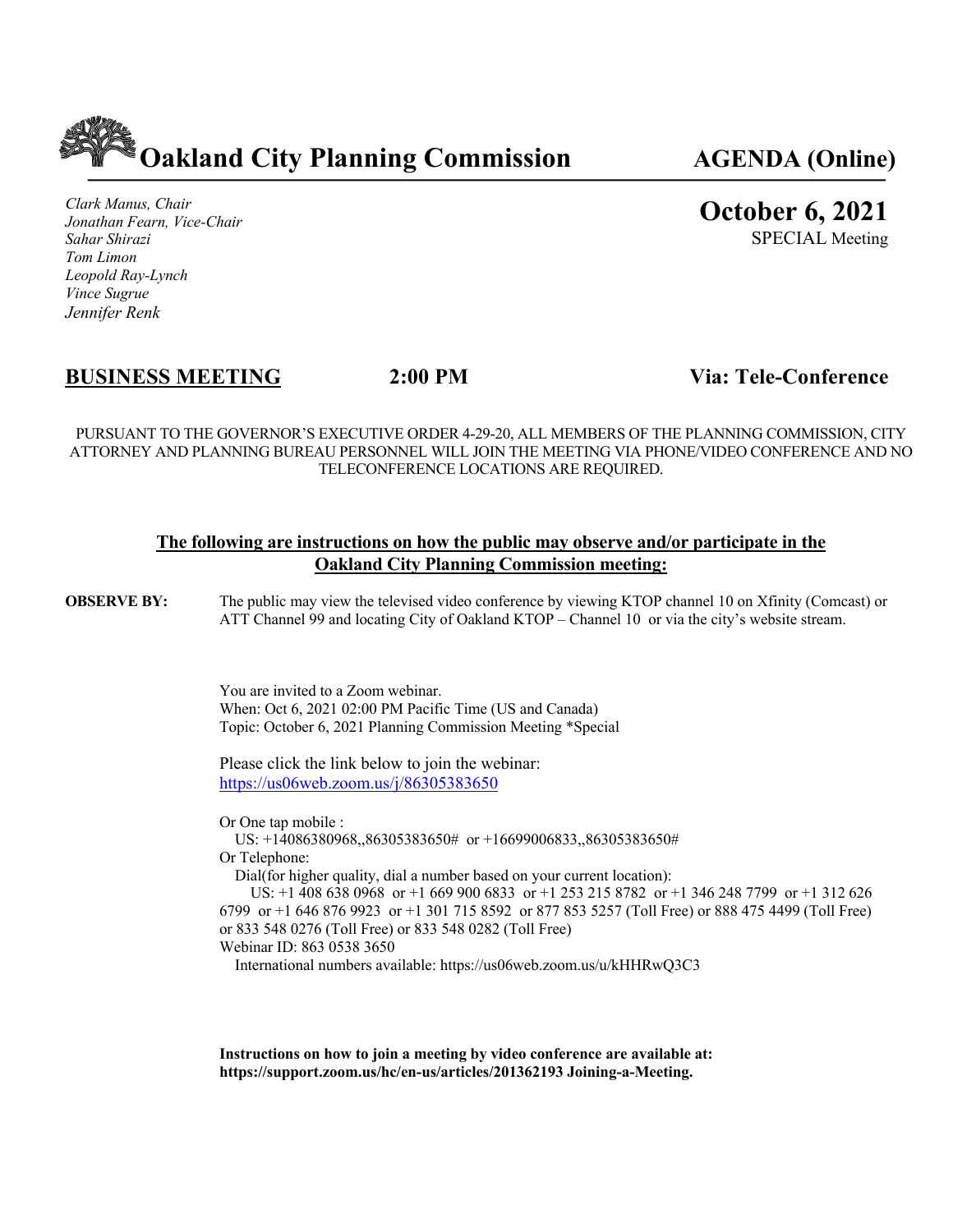

*Clark Manus, Chair Jonathan Fearn, Vice-Chair Sahar Shirazi Tom Limon Leopold Ray-Lynch Vince Sugrue Jennifer Renk*

# **October 6, 2021**

SPECIAL Meeting

# **BUSINESS MEETING 2:00 PM Via: Tele-Conference**

PURSUANT TO THE GOVERNOR'S EXECUTIVE ORDER 4-29-20, ALL MEMBERS OF THE PLANNING COMMISSION, CITY ATTORNEY AND PLANNING BUREAU PERSONNEL WILL JOIN THE MEETING VIA PHONE/VIDEO CONFERENCE AND NO TELECONFERENCE LOCATIONS ARE REQUIRED.

#### **The following are instructions on how the public may observe and/or participate in the Oakland City Planning Commission meeting:**

**OBSERVE BY:** The public may view the televised video conference by viewing KTOP channel 10 on Xfinity (Comcast) or ATT Channel 99 and locating City of Oakland KTOP – Channel 10 or via the city's website stream.

> You are invited to a Zoom webinar. When: Oct 6, 2021 02:00 PM Pacific Time (US and Canada) Topic: October 6, 2021 Planning Commission Meeting \*Special

Please click the link below to join the webinar: https://us06web.zoom.us/j/86305383650

Or One tap mobile :

 US: +14086380968,,86305383650# or +16699006833,,86305383650# Or Telephone:

Dial(for higher quality, dial a number based on your current location):

 US: +1 408 638 0968 or +1 669 900 6833 or +1 253 215 8782 or +1 346 248 7799 or +1 312 626 6799 or +1 646 876 9923 or +1 301 715 8592 or 877 853 5257 (Toll Free) or 888 475 4499 (Toll Free) or 833 548 0276 (Toll Free) or 833 548 0282 (Toll Free) Webinar ID: 863 0538 3650

International numbers available: https://us06web.zoom.us/u/kHHRwQ3C3

**Instructions on how to join a meeting by video conference are available at: https://support.zoom.us/hc/en-us/articles/201362193 Joining-a-Meeting.**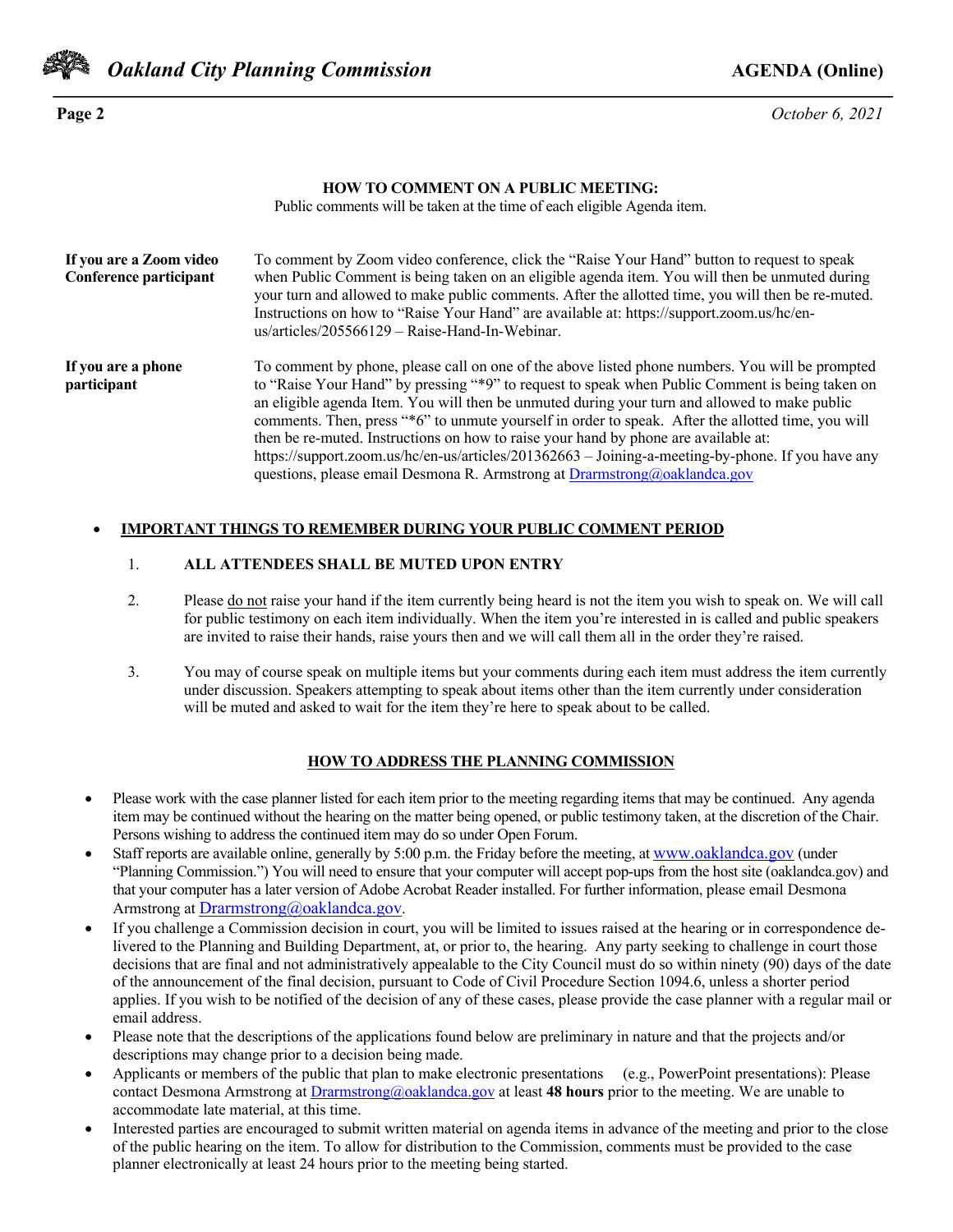

*Oakland City Planning Commission AGENDA* **(Online)** 

**Page 2** *October 6, 2021*

#### **HOW TO COMMENT ON A PUBLIC MEETING:**

Public comments will be taken at the time of each eligible Agenda item.

| If you are a Zoom video<br>Conference participant | To comment by Zoom video conference, click the "Raise Your Hand" button to request to speak<br>when Public Comment is being taken on an eligible agenda item. You will then be unmuted during<br>your turn and allowed to make public comments. After the allotted time, you will then be re-muted.<br>Instructions on how to "Raise Your Hand" are available at: https://support.zoom.us/hc/en-<br>$us/articles/205566129 - Raise-Hand-In-Webinar.$                                                                                                                                                                                                                               |
|---------------------------------------------------|------------------------------------------------------------------------------------------------------------------------------------------------------------------------------------------------------------------------------------------------------------------------------------------------------------------------------------------------------------------------------------------------------------------------------------------------------------------------------------------------------------------------------------------------------------------------------------------------------------------------------------------------------------------------------------|
| If you are a phone<br>participant                 | To comment by phone, please call on one of the above listed phone numbers. You will be prompted<br>to "Raise Your Hand" by pressing "*9" to request to speak when Public Comment is being taken on<br>an eligible agenda Item. You will then be unmuted during your turn and allowed to make public<br>comments. Then, press "*6" to unmute yourself in order to speak. After the allotted time, you will<br>then be re-muted. Instructions on how to raise your hand by phone are available at:<br>https://support.zoom.us/hc/en-us/articles/201362663 – Joining-a-meeting-by-phone. If you have any<br>questions, please email Desmona R. Armstrong at Drarmstrong@oaklandca.gov |

#### • **IMPORTANT THINGS TO REMEMBER DURING YOUR PUBLIC COMMENT PERIOD**

#### 1. **ALL ATTENDEES SHALL BE MUTED UPON ENTRY**

- 2. Please do not raise your hand if the item currently being heard is not the item you wish to speak on. We will call for public testimony on each item individually. When the item you're interested in is called and public speakers are invited to raise their hands, raise yours then and we will call them all in the order they're raised.
- 3. You may of course speak on multiple items but your comments during each item must address the item currently under discussion. Speakers attempting to speak about items other than the item currently under consideration will be muted and asked to wait for the item they're here to speak about to be called.

#### **HOW TO ADDRESS THE PLANNING COMMISSION**

- Please work with the case planner listed for each item prior to the meeting regarding items that may be continued. Any agenda item may be continued without the hearing on the matter being opened, or public testimony taken, at the discretion of the Chair. Persons wishing to address the continued item may do so under Open Forum.
- Staff reports are available online, generally by 5:00 p.m. the Friday before the meeting, at www.oaklandca.gov (under "Planning Commission.") You will need to ensure that your computer will accept pop-ups from the host site (oaklandca.gov) and that your computer has a later version of Adobe Acrobat Reader installed. For further information, please email Desmona Armstrong at Drarmstrong@oaklandca.gov.
- If you challenge a Commission decision in court, you will be limited to issues raised at the hearing or in correspondence delivered to the Planning and Building Department, at, or prior to, the hearing. Any party seeking to challenge in court those decisions that are final and not administratively appealable to the City Council must do so within ninety (90) days of the date of the announcement of the final decision, pursuant to Code of Civil Procedure Section 1094.6, unless a shorter period applies. If you wish to be notified of the decision of any of these cases, please provide the case planner with a regular mail or email address.
- Please note that the descriptions of the applications found below are preliminary in nature and that the projects and/or descriptions may change prior to a decision being made.
- Applicants or members of the public that plan to make electronic presentations (e.g., PowerPoint presentations): Please contact Desmona Armstrong at Drarmstrong@oaklandca.gov at least **48 hours** prior to the meeting. We are unable to accommodate late material, at this time.
- Interested parties are encouraged to submit written material on agenda items in advance of the meeting and prior to the close of the public hearing on the item. To allow for distribution to the Commission, comments must be provided to the case planner electronically at least 24 hours prior to the meeting being started.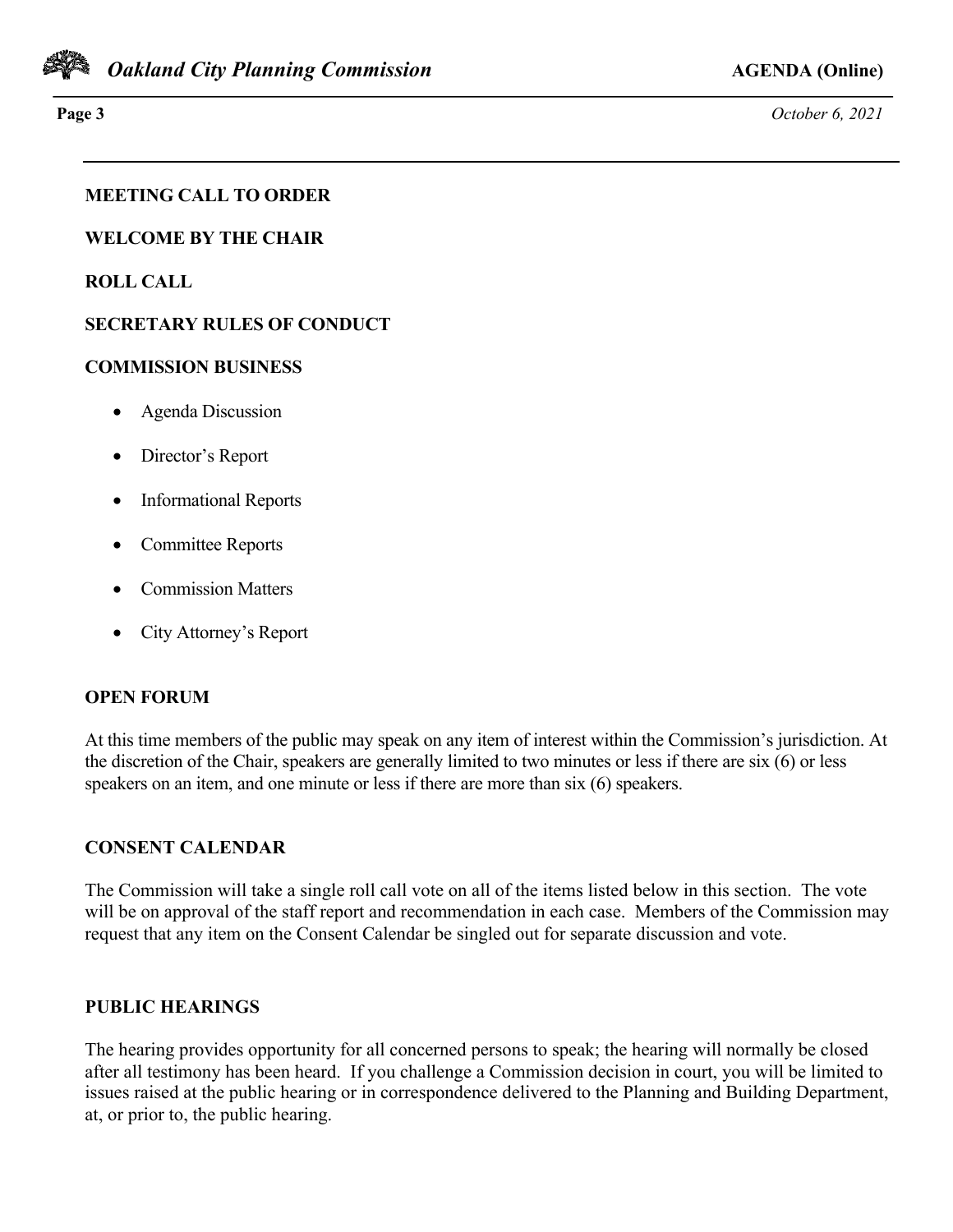

**Page 3** *October 6, 2021*

## **MEETING CALL TO ORDER**

**WELCOME BY THE CHAIR**

**ROLL CALL**

### **SECRETARY RULES OF CONDUCT**

#### **COMMISSION BUSINESS**

- Agenda Discussion
- Director's Report
- Informational Reports
- Committee Reports
- Commission Matters
- City Attorney's Report

### **OPEN FORUM**

At this time members of the public may speak on any item of interest within the Commission's jurisdiction. At the discretion of the Chair, speakers are generally limited to two minutes or less if there are six (6) or less speakers on an item, and one minute or less if there are more than six (6) speakers.

### **CONSENT CALENDAR**

The Commission will take a single roll call vote on all of the items listed below in this section. The vote will be on approval of the staff report and recommendation in each case. Members of the Commission may request that any item on the Consent Calendar be singled out for separate discussion and vote.

### **PUBLIC HEARINGS**

The hearing provides opportunity for all concerned persons to speak; the hearing will normally be closed after all testimony has been heard. If you challenge a Commission decision in court, you will be limited to issues raised at the public hearing or in correspondence delivered to the Planning and Building Department, at, or prior to, the public hearing.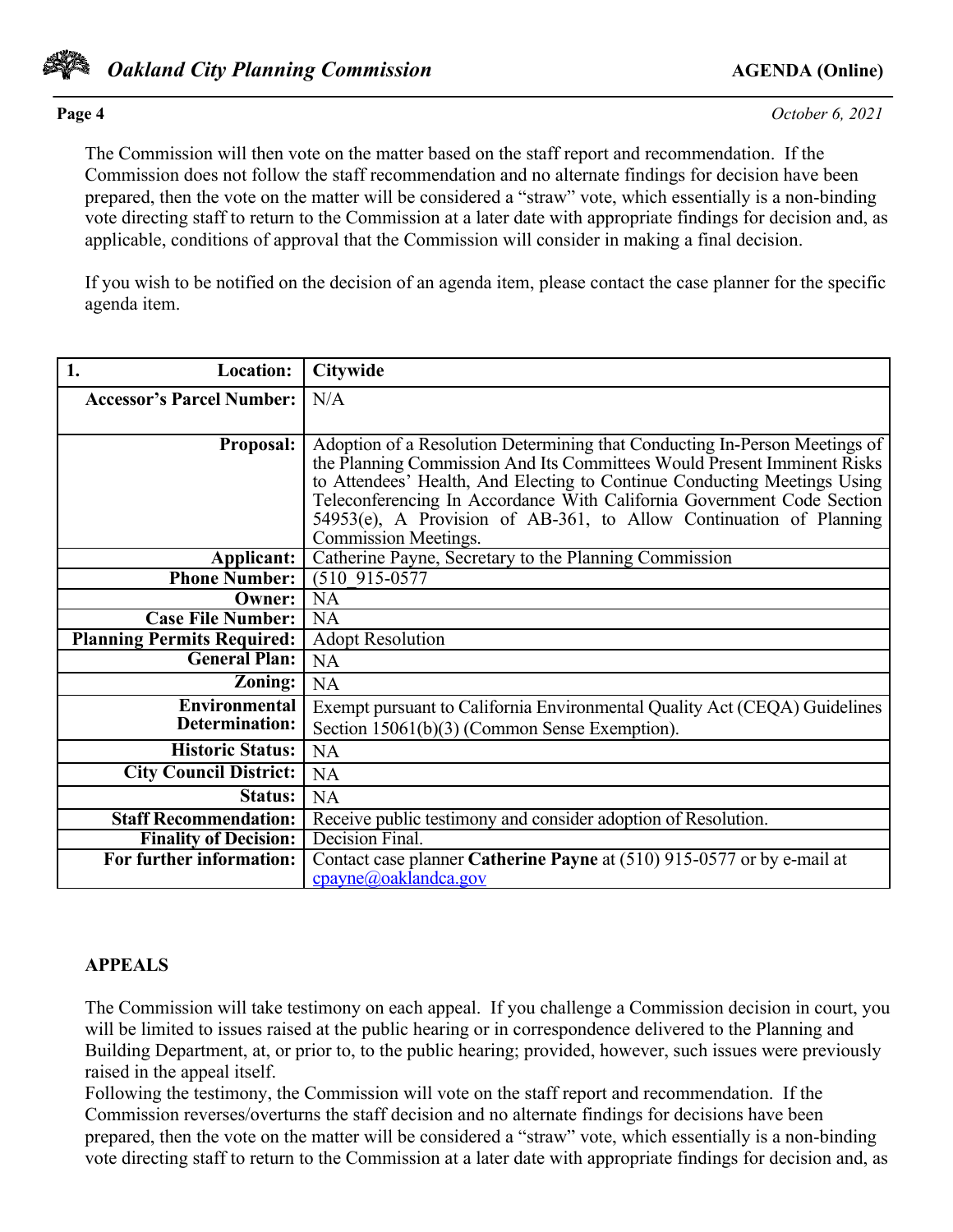

*Oakland City Planning Commission AGENDA* **(Online)** 

The Commission will then vote on the matter based on the staff report and recommendation. If the Commission does not follow the staff recommendation and no alternate findings for decision have been prepared, then the vote on the matter will be considered a "straw" vote, which essentially is a non-binding vote directing staff to return to the Commission at a later date with appropriate findings for decision and, as applicable, conditions of approval that the Commission will consider in making a final decision.

If you wish to be notified on the decision of an agenda item, please contact the case planner for the specific agenda item.

| 1.<br><b>Location:</b>            | <b>Citywide</b>                                                                                                                                    |
|-----------------------------------|----------------------------------------------------------------------------------------------------------------------------------------------------|
| <b>Accessor's Parcel Number:</b>  | N/A                                                                                                                                                |
|                                   |                                                                                                                                                    |
| <b>Proposal:</b>                  | Adoption of a Resolution Determining that Conducting In-Person Meetings of                                                                         |
|                                   | the Planning Commission And Its Committees Would Present Imminent Risks                                                                            |
|                                   | to Attendees' Health, And Electing to Continue Conducting Meetings Using<br>Teleconferencing In Accordance With California Government Code Section |
|                                   | 54953(e), A Provision of AB-361, to Allow Continuation of Planning                                                                                 |
|                                   | <b>Commission Meetings.</b>                                                                                                                        |
| Applicant:                        | Catherine Payne, Secretary to the Planning Commission                                                                                              |
| <b>Phone Number:</b>              | $(510915-0577)$                                                                                                                                    |
| Owner:                            | <b>NA</b>                                                                                                                                          |
| <b>Case File Number:</b>          | <b>NA</b>                                                                                                                                          |
| <b>Planning Permits Required:</b> | <b>Adopt Resolution</b>                                                                                                                            |
| <b>General Plan:</b>              | <b>NA</b>                                                                                                                                          |
| Zoning:                           | <b>NA</b>                                                                                                                                          |
| Environmental                     | Exempt pursuant to California Environmental Quality Act (CEQA) Guidelines                                                                          |
| <b>Determination:</b>             | Section $15061(b)(3)$ (Common Sense Exemption).                                                                                                    |
| <b>Historic Status:</b>           | <b>NA</b>                                                                                                                                          |
| <b>City Council District:</b>     | <b>NA</b>                                                                                                                                          |
| Status:                           | <b>NA</b>                                                                                                                                          |
| <b>Staff Recommendation:</b>      | Receive public testimony and consider adoption of Resolution.                                                                                      |
| <b>Finality of Decision:</b>      | Decision Final.                                                                                                                                    |
| For further information:          | Contact case planner Catherine Payne at (510) 915-0577 or by e-mail at                                                                             |
|                                   | cpayne@oaklandca.gov                                                                                                                               |

### **APPEALS**

The Commission will take testimony on each appeal. If you challenge a Commission decision in court, you will be limited to issues raised at the public hearing or in correspondence delivered to the Planning and Building Department, at, or prior to, to the public hearing; provided, however, such issues were previously raised in the appeal itself.

Following the testimony, the Commission will vote on the staff report and recommendation. If the Commission reverses/overturns the staff decision and no alternate findings for decisions have been prepared, then the vote on the matter will be considered a "straw" vote, which essentially is a non-binding vote directing staff to return to the Commission at a later date with appropriate findings for decision and, as